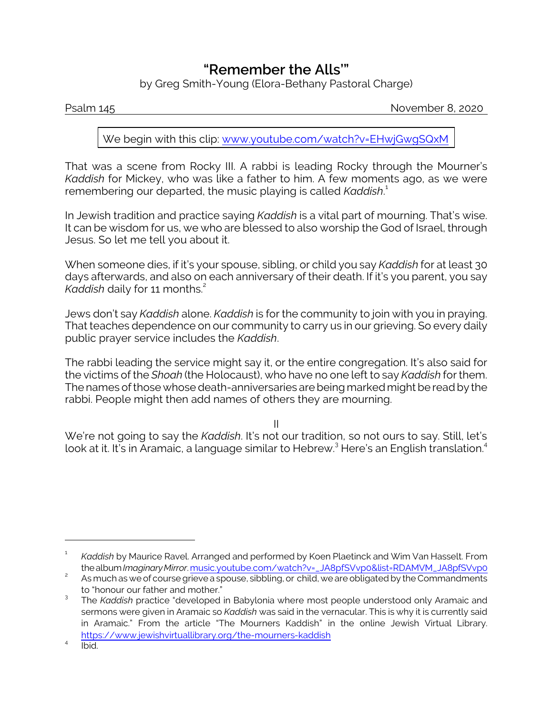## **"Remember the** *Alls***'"**

by Greg Smith-Young (Elora-Bethany Pastoral Charge)

Psalm 145 November 8, 2020

We begin with this clip: [www.youtube.com/watch?v=EHwjGwgSQxM](https://www.youtube.com/watch?v=EHwjGwgSQxM)

That was a scene from Rocky III. A rabbi is leading Rocky through the Mourner's *Kaddish* for Mickey, who was like a father to him. A few moments ago, as we were remembering our departed, the music playing is called *Kaddish*. 1

In Jewish tradition and practice saying *Kaddish* is a vital part of mourning. That's wise. It can be wisdom for us, we who are blessed to also worship the God of Israel, through Jesus. So let me tell you about it.

When someone dies, if it's your spouse, sibling, or child you say *Kaddish* for at least 30 days afterwards, and also on each anniversary of their death. If it's you parent, you say *Kaddish* daily for 11 months.<sup>2</sup>

Jews don't say *Kaddish* alone. *Kaddish* is for the community to join with you in praying. That teaches dependence on our community to carry us in our grieving. So every daily public prayer service includes the *Kaddish*.

The rabbi leading the service might say it, or the entire congregation. It's also said for the victims of the *Shoah* (the Holocaust), who have no one left to say *Kaddish* for them. The names of those whose death-anniversaries are being marked might be read by the rabbi. People might then add names of others they are mourning.

II

We're not going to say the *Kaddish*. It's not our tradition, so not ours to say. Still, let's look at it. It's in Aramaic, a language similar to Hebrew. $^3$  Here's an English translation. $^4$ 

<sup>1</sup> *Kaddish* by Maurice Ravel. Arranged and performed by Koen Plaetinck and Wim Van Hasselt. From thealbum*ImaginaryMirror*.[music.youtube.com/watch?v=\\_JA8pfSVvp0&list=RDAMVM\\_JA8pfSVvp0](https://music.youtube.com/watch?v=_JA8pfSVvp0&list=RDAMVM_JA8pfSVvp0)

<sup>2</sup> As much as we of course grieve a spouse, sibbling, or child, we are obligated by the Commandments to "honour our father and mother."

<sup>3</sup> The *Kaddish* practice "developed in Babylonia where most people understood only Aramaic and sermons were given in Aramaic so *Kaddish* was said in the vernacular. This is why it is currently said in Aramaic." From the article "The Mourners Kaddish" in the online Jewish Virtual Library. <https://www.jewishvirtuallibrary.org/the-mourners-kaddish>

<sup>4</sup> Ibid.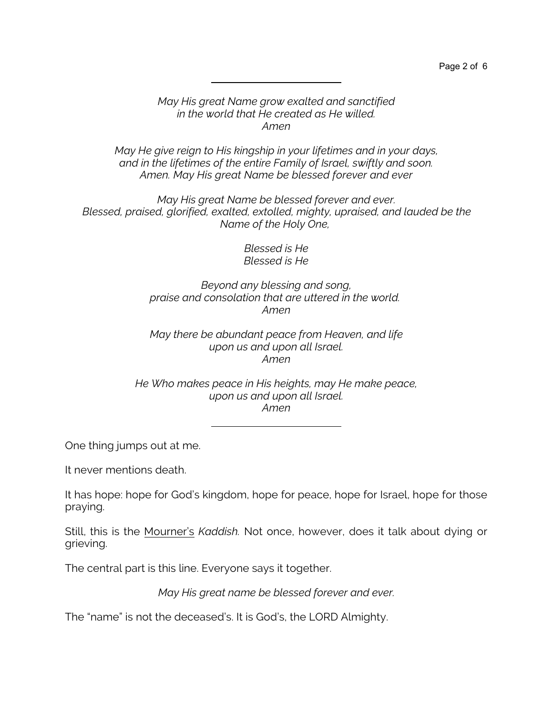## *May His great Name grow exalted and sanctified in the world that He created as He willed. Amen*

*May He give reign to His kingship in your lifetimes and in your days, and in the lifetimes of the entire Family of Israel, swiftly and soon. Amen. May His great Name be blessed forever and ever*

*May His great Name be blessed forever and ever. Blessed, praised, glorified, exalted, extolled, mighty, upraised, and lauded be the Name of the Holy One,* 

> *Blessed is He Blessed is He*

*Beyond any blessing and song, praise and consolation that are uttered in the world. Amen*

*May there be abundant peace from Heaven, and life upon us and upon all Israel. Amen*

*He Who makes peace in His heights, may He make peace, upon us and upon all Israel. Amen*

One thing jumps out at me.

It never mentions death.

It has hope: hope for God's kingdom, hope for peace, hope for Israel, hope for those praying.

Still, this is the Mourner's *Kaddish.* Not once, however, does it talk about dying or grieving.

The central part is this line. Everyone says it together.

*May His great name be blessed forever and ever.*

The "name" is not the deceased's. It is God's, the LORD Almighty.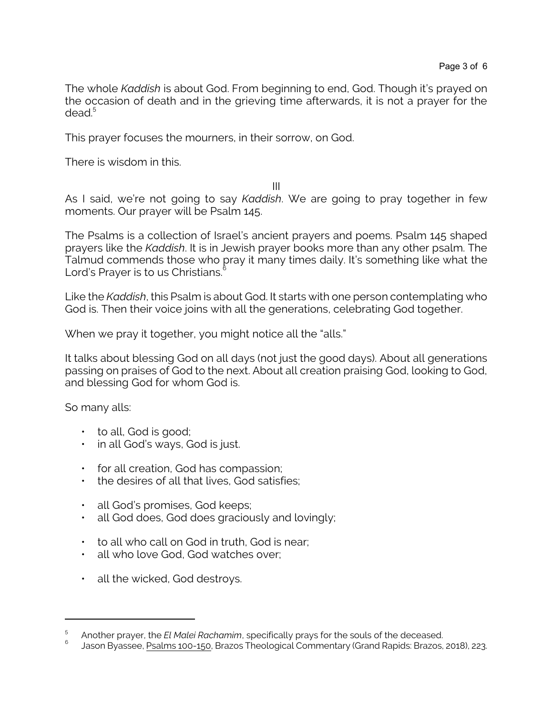The whole *Kaddish* is about God. From beginning to end, God. Though it's prayed on the occasion of death and in the grieving time afterwards, it is not a prayer for the dead. 5

This prayer focuses the mourners, in their sorrow, on God.

There is wisdom in this.

III

As I said, we're not going to say *Kaddish*. We are going to pray together in few moments. Our prayer will be Psalm 145.

The Psalms is a collection of Israel's ancient prayers and poems. Psalm 145 shaped prayers like the *Kaddish*. It is in Jewish prayer books more than any other psalm. The Talmud commends those who pray it many times daily. It's something like what the Lord's Prayer is to us Christians. 6

Like the *Kaddish*, this Psalm is about God. It starts with one person contemplating who God is. Then their voice joins with all the generations, celebrating God together.

When we pray it together, you might notice all the "alls."

It talks about blessing God on all days (not just the good days). About all generations passing on praises of God to the next. About all creation praising God, looking to God, and blessing God for whom God is.

So many alls:

- to all, God is good;
- in all God's ways, God is just.
- for all creation, God has compassion;
- the desires of all that lives, God satisfies;
- all God's promises, God keeps;
- all God does, God does graciously and lovingly;
- to all who call on God in truth, God is near;
- all who love God, God watches over;
- all the wicked, God destroys.

<sup>5</sup> Another prayer, the *El Malei Rachamim*, specifically prays for the souls of the deceased.

<sup>6</sup> Jason Byassee, Psalms 100-150, Brazos Theological Commentary (Grand Rapids: Brazos, 2018), 223.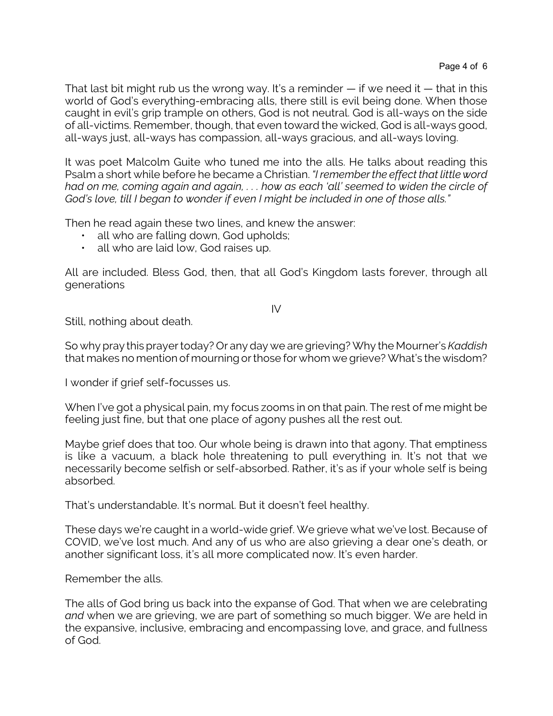That last bit might rub us the wrong way. It's a reminder  $-$  if we need it  $-$  that in this world of God's everything-embracing alls, there still is evil being done. When those caught in evil's grip trample on others, God is not neutral. God is all-ways on the side of all-victims. Remember, though, that even toward the wicked, God is all-ways good, all-ways just, all-ways has compassion, all-ways gracious, and all-ways loving.

It was poet Malcolm Guite who tuned me into the alls. He talks about reading this Psalm a short while before he became a Christian. *"I remember the effect that little word had on me, coming again and again, . . . how as each 'all' seemed to widen the circle of God's love, till I began to wonder if even I might be included in one of those alls."*

Then he read again these two lines, and knew the answer:

- all who are falling down, God upholds;
- all who are laid low, God raises up.

All are included. Bless God, then, that all God's Kingdom lasts forever, through all generations

IV

Still, nothing about death.

So why pray this prayer today? Or any day we are grieving? Why the Mourner's *Kaddish* that makes no mention of mourning or those for whom we grieve? What's the wisdom?

I wonder if grief self-focusses us.

When I've got a physical pain, my focus zooms in on that pain. The rest of me might be feeling just fine, but that one place of agony pushes all the rest out.

Maybe grief does that too. Our whole being is drawn into that agony. That emptiness is like a vacuum, a black hole threatening to pull everything in. It's not that we necessarily become selfish or self-absorbed. Rather, it's as if your whole self is being absorbed.

That's understandable. It's normal. But it doesn't feel healthy.

These days we're caught in a world-wide grief. We grieve what we've lost. Because of COVID, we've lost much. And any of us who are also grieving a dear one's death, or another significant loss, it's all more complicated now. It's even harder.

Remember the alls.

The alls of God bring us back into the expanse of God. That when we are celebrating *and* when we are grieving, we are part of something so much bigger. We are held in the expansive, inclusive, embracing and encompassing love, and grace, and fullness of God.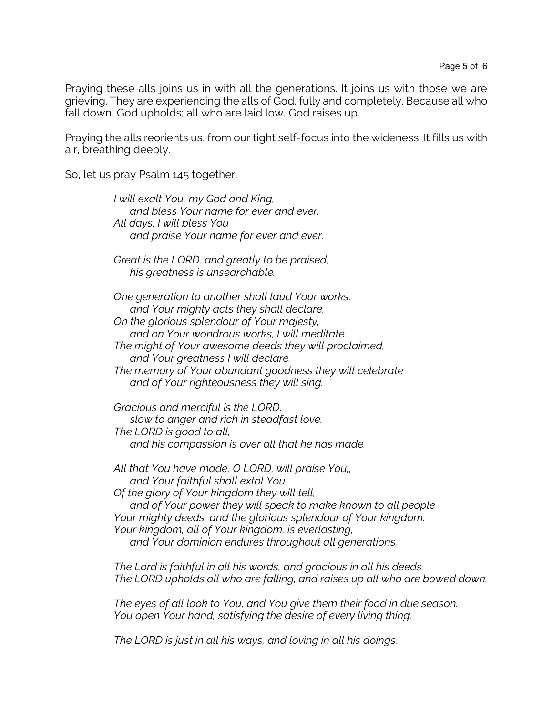Praying these alls joins us in with all the generations. It joins us with those we are grieving. They are experiencing the alls of God, fully and completely. Because all who fall down, God upholds; all who are laid low, God raises up.

Praying the alls reorients us, from our tight self-focus into the wideness. It fills us with air, breathing deeply.

So, let us pray Psalm 145 together.

*I will exalt You, my God and King, and bless Your name for ever and ever. All days, I will bless You and praise Your name for ever and ever. Great is the LORD, and greatly to be praised; his greatness is unsearchable. One generation to another shall laud Your works, and Your mighty acts they shall declare. On the glorious splendour of Your majesty, and on Your wondrous works, I will meditate. The might of Your awesome deeds they will proclaimed, and Your greatness I will declare. The memory of Your abundant goodness they will celebrate and of Your righteousness they will sing. Gracious and merciful is the LORD, slow to anger and rich in steadfast love. The LORD is good to all, and his compassion is over all that he has made. All that You have made, O LORD, will praise You,, and Your faithful shall extol You. Of the glory of Your kingdom they will tell,*

*and of Your power they will speak to make known to all people Your mighty deeds, and the glorious splendour of Your kingdom. Your kingdom, all of Your kingdom, is everlasting, and Your dominion endures throughout all generations.*

*The Lord is faithful in all his words, and gracious in all his deeds. The LORD upholds all who are falling, and raises up all who are bowed down.*

*The eyes of all look to You, and You give them their food in due season. You open Your hand, satisfying the desire of every living thing.*

*The LORD is just in all his ways, and loving in all his doings.*